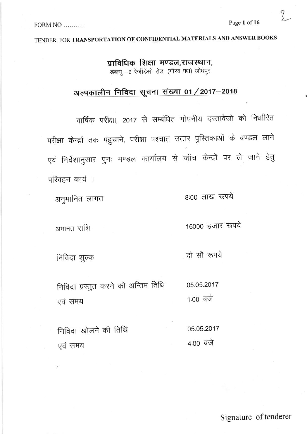Z<br>2

#### $FORM NO$ ...........

### TENDER FOR TRANSPORTATION OF CONFIDENTIAL MATERIALS AND ANSWER BOOKS

प्राविधिक शिक्षा मण्डल,राजस्थान, डब्ल्यू - 6 रेजीडेंसी रोड, (गौरव पथ) जोधपुर

## अल्पकालीन निविदा सूचना संख्या 01 / 2017–2018

वार्षिक परीक्षा, 2017 से सम्बंधित गोपनीय दस्तावेजो को निर्धारित परीक्षा केन्द्रों तक पंहुचाने, परीक्षा पश्चात उत्तर पुरितकाओं के बण्डल लाने एवं निर्देशानुसार पुनः मण्डल कार्यालय से जॉच केन्द्रों पर ले जाने हेतु परिवहन कार्य ।

8:00 लाख रुपये

अनुमानित लागत

16000 हजार रुपये

अमानत राशि

दो सौ रूपये

निविदा शुल्क

निविदा प्रस्तुत करने की अन्तिम तिथि 05.05.2017 1:00 बजे एवं समय

05.05.2017 निविदा खोलने की तिथि  $4:00$  बजे एवं समय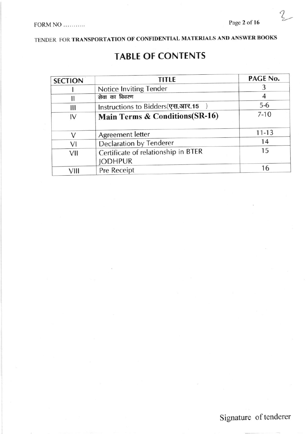Z

TENDER FOR TRANSPORTATION OF CONFIDENTIAL MATERIALS AND ANSWER BOOKS

## **TABLE OF CONTENTS**

| <b>TITLE</b><br><b>SECTION</b> |                                     | PAGE No.  |
|--------------------------------|-------------------------------------|-----------|
|                                | Notice Inviting Tender              |           |
| Π                              | सेवा का विवरण                       |           |
| Ш                              | Instructions to Bidders(एस.आर.15    | $5-6$     |
| IV                             | Main Terms & Conditions(SR-16)      | $7 - 10$  |
| $\vee$                         | Agreement letter                    | $11 - 13$ |
| VI                             | <b>Declaration by Tenderer</b>      | 14        |
| VII                            | Certificate of relationship in BTER | 15        |
|                                | <b>JODHPUR</b>                      |           |
| VIII                           | Pre Receipt                         | 16        |

## Signature of tenderer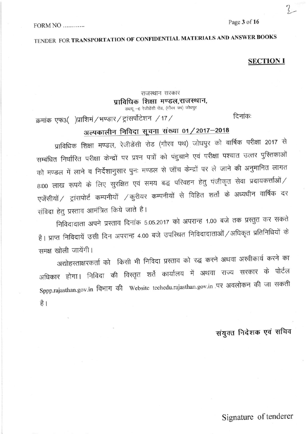TENDER FOR TRANSPORTATION OF CONFIDENTIAL MATERIALS AND ANSWER BOOKS

#### **SECTION I**

### राजस्थान सरकार प्राविधिक शिक्षा मण्डल,राजस्थान,

डब्ल्यू - 6 रेजीडेंसी रोड, (गौरव पथ) जोघपुर

क्रमांक एफ3( )प्राशिमं / भण्डार / ट्रांसर्पोटेशन / 17 /

दिनांकः

## अल्पकालीन निविदा सूचना संख्या 01 / 2017-2018

प्राविधिक शिक्षा मण्डल, रेजीडेंसी रोड (गौरव पथ) जोधपुर को वार्षिक परीक्षा 2017 से सम्बंधित निर्धारित परीक्षा केन्द्रों पर प्रश्न पत्रों को पंहुचाने एवं परीक्षा पश्चात उत्तर पुरितकाओं को मण्डल में लाने व निर्देशानुसार पुनः मण्डल से जॉच केन्द्रों पर ले जाने की अनुमानित लागत 8:00 लाख रूपये के लिए सुरक्षित एवं समय बद्ध परिवहन हेतु पंजीकृत सेवा प्रदायकर्त्ताओं / एजेंसीयों / ट्रांसपोर्ट कम्पनीयों / कुरीयर कम्पनीयों से विहित शर्तो के अध्यधीन वार्षिक दर संविदा हेतु प्रस्ताव आमंत्रित किये जाते है।

निविदादाता अपने प्रस्ताव दिनांक 5.05.2017 को अपरान्ह 1.00 बजे तक प्रस्तुत कर सकते है। प्राप्त निविदायें उसी दिन अपरान्ह 4.00 बजे उपस्थित निविदादाताओं / अधिकृत प्रतिनिधियों के समक्ष खोली जायेंगी।

अद्योहस्ताक्षरकर्ता को किसी भी निविदा प्रस्ताव को रद्ध करने अथवा अस्वीकार्य करने का अधिकार होगा। निविदा की विस्तृत शर्ते कार्यालय में अथवा राज्य सरकार के पोर्टल Sppp.rajasthan.gov.in विभाग की Website techedu.rajasthan.gov.in पर अवलोकन की जा सकती है।

संयुक्त निदेशक एवं सचिव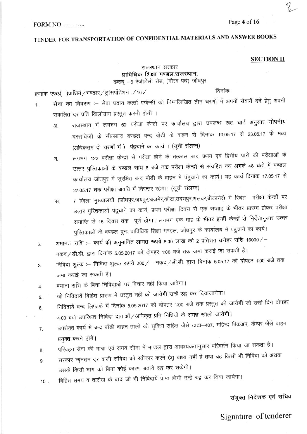#### Page 4 of 16

#### FORM NO ..........

## TENDER FOR TRANSPORTATION OF CONFIDENTIAL MATERIALS AND ANSWER BOOKS

#### **SECTION II**

#### राजस्थान सरकार प्राविधिक शिक्षा मण्डल,राजस्थान, डब्ल्यू -6 रेजीडेंसी रोड, (गौरव पथ) जोधपुर

क्रमांक एफ3( )प्राशिमं / भण्डार / ट्रांसर्पोटेशन / 16 /

दिनांकः

- सेवा का विवरण :- सेवा प्रदाय कर्त्ता एजेन्सी को निम्नलिखित तीन चरणों में अपनी सेवायें देने हेतु अपनी  $\mathbf{1}$ संकलित दर प्रति किलोग्राम प्रस्तुत करनी होगी ।
	- राजस्थान में लगभग 62 परीक्षा केन्द्रों पर कार्यालय द्वारा उपलब्ध रूट चार्ट अनुसार गोपनीय 3T. दस्तावेजो के सीलबन्द बण्डल बन्द बोडी के वाहन से दिनांक 10.05.17 से 23.05.17 के मध्य (अधिकतम दो चरणों में) पंहुचाने का कार्य । (सूची संलग्न)
	- लगभग 122 परीक्षा केन्द्रों से परीक्षा होने के तत्काल बाद प्रथम एवं द्वितीय पारी की परीक्षाओं के ৰ. उत्तर पुरितकाओं के बण्डल सांय 6 बजे तक परीक्षा केन्द्रों से संग्रहित कर अगले 48 घंटों में मण्डल कार्यालय जोधपुर में सुरक्षित बन्द बोडी के वाहन में पंहुचाने का कार्य। यह कार्य दिनांक 17.05.17 से 27.05.17 तक परीक्षा अवधि में निरन्तर रहेगा। (सूची संलग्न)
	- 7 जिला मुख्यालयों (जोधपुर,जयपुर,अजमेर,कोटा,उदयपुर,अलवर,बीकानेर) में स्थित परीक्षा केन्द्रों पर स. उत्तर पुस्तिकाओं पंहुचाने का कार्य, प्रथम परीक्षा दिवस से एक सप्ताह के भीतर प्रारम्भ होकर परीक्षा समाप्ति से 15 दिवस तक पूर्ण होगा। लगभग एक माह के भीतर इन्हीं केन्द्रों से निर्देशानुसार उत्तर पुस्तिकाओं के बण्डल पुनः प्राविधिक शिक्षा मण्डल, जोधपुर के कार्यालय में पंहुचाने का कार्य।
- अमानत राशि :-- कार्य की अनुमानित लागत रूपये 8.00 लाख की 2 प्रतिशत धरोहर राशि 16000/- $2.$ नकद/डी.डी. द्वारा दिनांक 5.05.2017 को दोपहर 1:00 बजे तक जमा कराई जा सकती है।
- निविदा शुल्क :-- निविदा शुल्क रूपये 200/- नकद/डी.डी. द्वारा दिनांक 5.05.17 को दोपहर 1:00 बजे तक 3. जमा कराई जा सकती है।
- बयाना राशि के बिना निविदाओं पर विचार नहीं किया जावेगा।  $\overline{4}$ .
- जो निविदायें विहित प्रारूप में प्रस्तुत नहीं की जायेगी उन्हें रद्ध कर दियाजायेगा। 5.
- निविदायें बन्द लिफाफे में दिनांक 5.05.2017 को दोपहर 1:00 बजे तक प्रस्तुत की जायेगी जो उसी दिन दोपहर 6. 4:00 बजे उपस्थित निविदा दाताओं / अधिकृत प्रति निधियों के समक्ष खोली जायेगी।
- उपरोक्त कार्य में बन्द बॉडी वाहन तालों की सुविधा सहित जैसे टाटा-407, महिन्द्र पिकअप, कैम्पर जैसे वाहन  $7.$ प्रयुक्त करने होगें।
- परिवहन सेवा की मात्रा एवं समय सीमा में मण्डल द्वारा आवश्यकतानुसार परिवर्तन किया जा सकता है। 8.
- सरकार न्यूनतम दर वाली संविदा को स्वीकार करने हेतु बाध्य नहीं है तथा वह किसी भी निविदा को अथवा 9. उसके किसी भाग को बिना कोई कारण बताये रद्ध कर सकेगी।
- विहित समय व तारीख के बाद जो भी निविदायें प्राप्त होगी उन्हें रद्ध कर दिया जायेगा।  $10$ .

### संयुक्त निदेशक एवं सचिव

Signature of tenderer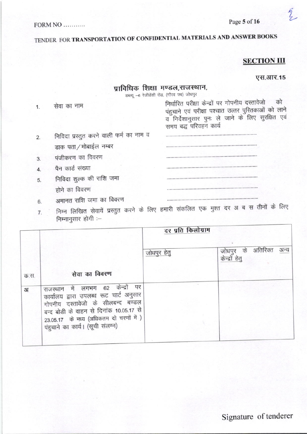#### FORM NO ..........

TENDER FOR TRANSPORTATION OF CONFIDENTIAL MATERIALS AND ANSWER BOOKS

### **SECTION III**

#### एस.आर.15

 $\frac{2}{2}$ 

### प्राविधिक शिक्षा मण्डल,राजस्थान,

डब्ल्यू - 6 रेजीडेंसी रोड, (गौरव पथ) जोधपुर

| 1. |                                         | निर्धारित परीक्षा कन्द्रा पर गांपनीय दस्तीवर्जा<br>पंहुचाने एवं परीक्षा पश्चात उत्तर पुस्तिकाओं को लाने<br>व निर्देशानुसार पुनः ले जाने के लिए सुरक्षित एवं<br>समय बद्ध परिवहन कार्य |
|----|-----------------------------------------|--------------------------------------------------------------------------------------------------------------------------------------------------------------------------------------|
| 2. | निविदा प्रस्तुत करने वाली फर्म का नाम व |                                                                                                                                                                                      |
|    | डाक पता / मोबाईल नम्बर                  |                                                                                                                                                                                      |
| 3. | पंजीकरण का विवरण                        |                                                                                                                                                                                      |
| 4  | पैन कार्ड संख्या                        |                                                                                                                                                                                      |
| 5  | निविदा शुल्क की राशि जमा                |                                                                                                                                                                                      |
|    | होने का विवरण                           |                                                                                                                                                                                      |
| 6. | अमानत राशि जमा का विवरण                 |                                                                                                                                                                                      |
|    |                                         |                                                                                                                                                                                      |

7. निम्न लिखित सेवायें प्रस्तुत करने के लिए हम निम्नानुसार होगी :-

|                |                                                                                                                                                                                                                                            | दर प्रति किलोग्राम |                                                     |  |
|----------------|--------------------------------------------------------------------------------------------------------------------------------------------------------------------------------------------------------------------------------------------|--------------------|-----------------------------------------------------|--|
|                |                                                                                                                                                                                                                                            | जोधपुर हेतु        | जोधपुर के अतिरिक्त<br><u>केन्द्रों</u> हेतु<br>अन्य |  |
| क.स.           | सेवा का विवरण                                                                                                                                                                                                                              |                    |                                                     |  |
| 3 <sub>l</sub> | राजस्थान में लगभग 62 केन्द्रों पर<br>कार्यालय द्वारा उपलब्ध रूट चार्ट अनुसार<br>गोपनीय दस्तावेजो के सीलबन्द बण्डल<br>बन्द बोडी के वाहन से दिनांक 10.05.17 से<br>23.05.17 के मध्य (अधिकतम दो चरणों में)<br>पंहुचाने का कार्य। (सूची संलग्न) |                    |                                                     |  |
|                |                                                                                                                                                                                                                                            |                    |                                                     |  |